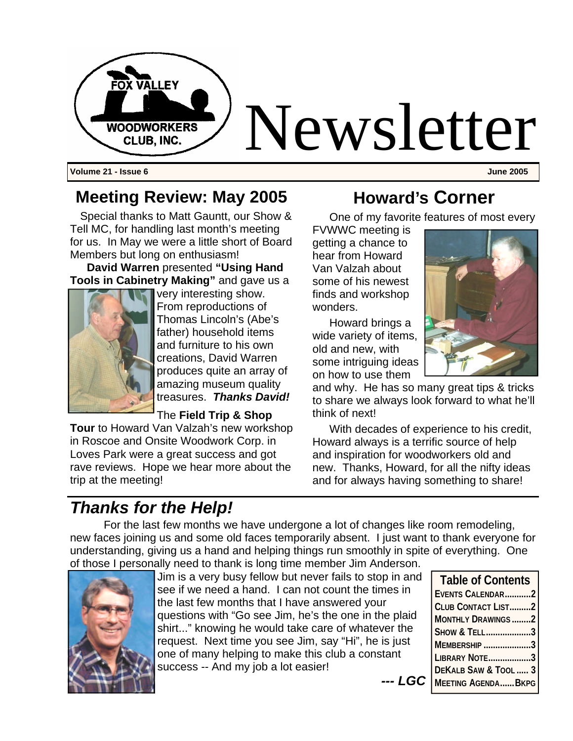

**Volume 21 - Issue 6 June 2005**

#### **Meeting Review: May 2005**

Special thanks to Matt Gauntt, our Show & Tell MC, for handling last month's meeting for us. In May we were a little short of Board Members but long on enthusiasm!

**David Warren** presented **"Using Hand Tools in Cabinetry Making"** and gave us a



very interesting show. From reproductions of Thomas Lincoln's (Abe's father) household items and furniture to his own creations, David Warren produces quite an array of amazing museum quality treasures. *Thanks David!*

The **Field Trip & Shop** 

**Tour** to Howard Van Valzah's new workshop in Roscoe and Onsite Woodwork Corp. in Loves Park were a great success and got rave reviews. Hope we hear more about the trip at the meeting!

### **Howard's Corner**

One of my favorite features of most every

FVWWC meeting is getting a chance to hear from Howard Van Valzah about some of his newest finds and workshop wonders.

Howard brings a wide variety of items, old and new, with some intriguing ideas on how to use them

and why. He has so many great tips & tricks to share we always look forward to what he'll think of next!

With decades of experience to his credit, Howard always is a terrific source of help and inspiration for woodworkers old and new. Thanks, Howard, for all the nifty ideas and for always having something to share!

*--- LGC* 

### *Thanks for the Help!*

For the last few months we have undergone a lot of changes like room remodeling, new faces joining us and some old faces temporarily absent. I just want to thank everyone for understanding, giving us a hand and helping things run smoothly in spite of everything. One of those I personally need to thank is long time member Jim Anderson.



Jim is a very busy fellow but never fails to stop in and see if we need a hand. I can not count the times in the last few months that I have answered your questions with "Go see Jim, he's the one in the plaid shirt..." knowing he would take care of whatever the request. Next time you see Jim, say "Hi", he is just one of many helping to make this club a constant success -- And my job a lot easier!

**Table of Contents EVENTS CALENDAR...........2 CLUB CONTACT LIST.........2 MONTHLY DRAWINGS ........2 SHOW & TELL...................3 MEMBERSHIP ....................3 LIBRARY NOTE..................3 DEKALB SAW & TOOL ..... 3 MEETING AGENDA......BKPG**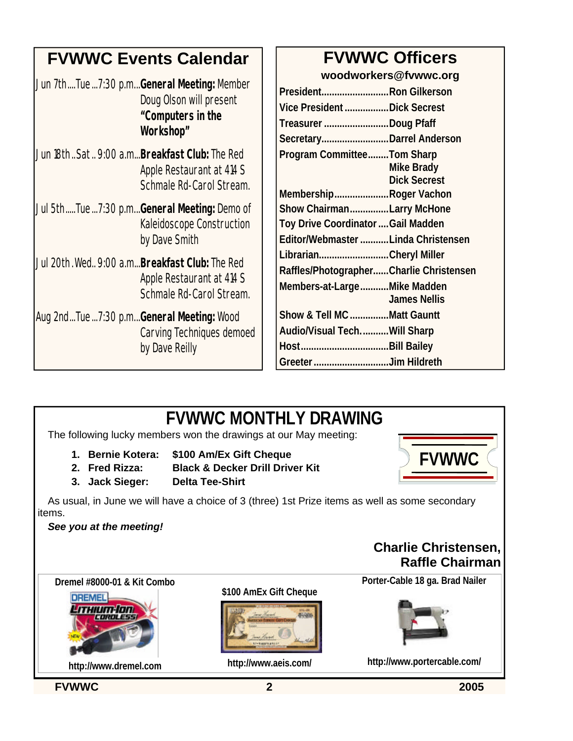## **FVWWC Events Calendar**

| Doug Olson will present |
|-------------------------|
| "Computers in the       |
| Workshop"               |
|                         |

- Jun 18th..Sat.. 9:00 a.m...**Breakfast Club:** The Red Apple Restaurant at 414 S Schmale Rd-Carol Stream.
- Jul 5th.....Tue...7:30 p.m...**General Meeting:** Demo of Kaleidoscope Construction by Dave Smith
- Jul 20th.Wed.. 9:00 a.m...**Breakfast Club:** The Red Apple Restaurant at 414 S Schmale Rd-Carol Stream.
- Aug 2nd...Tue...7:30 p.m...**General Meeting:** Wood Carving Techniques demoed by Dave Reilly

# **FVWWC Officers**

**woodworkers@fvwwc.org**

| PresidentRon Gilkerson                  |                     |
|-----------------------------------------|---------------------|
| Vice President Dick Secrest             |                     |
| Treasurer Doug Pfaff                    |                     |
| SecretaryDarrel Anderson                |                     |
| <b>Program CommitteeTom Sharp</b>       |                     |
|                                         | <b>Mike Brady</b>   |
|                                         | <b>Dick Secrest</b> |
| MembershipRoger Vachon                  |                     |
| Show ChairmanLarry McHone               |                     |
| Toy Drive Coordinator  Gail Madden      |                     |
| Editor/Webmaster Linda Christensen      |                     |
| LibrarianCheryl Miller                  |                     |
| Raffles/PhotographerCharlie Christensen |                     |
| Members-at-LargeMike Madden             |                     |
|                                         | <b>James Nellis</b> |
| Show & Tell MC Matt Gauntt              |                     |
| Audio/Visual TechWill Sharp             |                     |
|                                         |                     |
| Greeter Jim Hildreth                    |                     |

# **FVWWC MONTHLY DRAWING**

The following lucky members won the drawings at our May meeting:

- **1. Bernie Kotera: \$100 Am/Ex Gift Cheque**
- **2. Fred Rizza: Black & Decker Drill Driver Kit**
- 
- **3. Jack Sieger: Delta Tee-Shirt**

As usual, in June we will have a choice of 3 (three) 1st Prize items as well as some secondary items.

#### *See you at the meeting!*

#### **Charlie Christensen, Raffle Chairman**

**FVWWC**

**Dremel #8000-01 & Kit Combo**



**http://www.dremel.com**

**\$100 AmEx Gift Cheque**



**http://www.aeis.com/**

**Porter-Cable 18 ga. Brad Nailer**



**http://www.portercable.com/**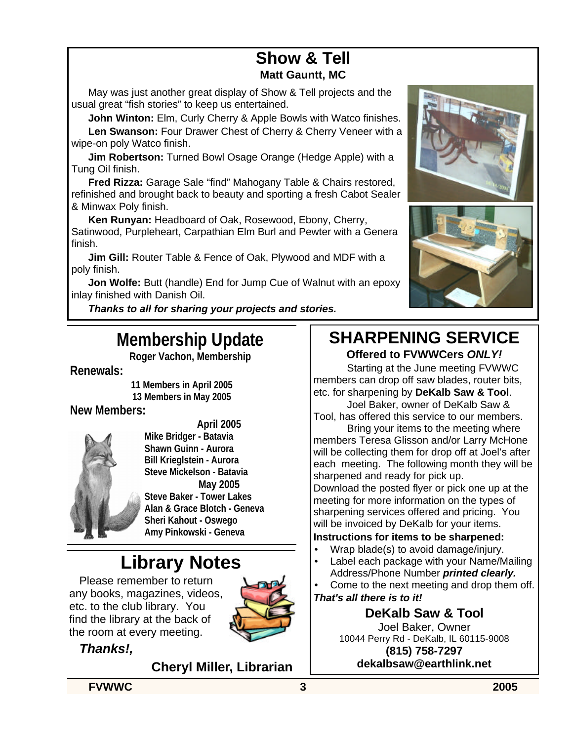# **Show & Tell**

#### **Matt Gauntt, MC**

May was just another great display of Show & Tell projects and the usual great "fish stories" to keep us entertained.

**John Winton:** Elm, Curly Cherry & Apple Bowls with Watco finishes. **Len Swanson:** Four Drawer Chest of Cherry & Cherry Veneer with a wipe-on poly Watco finish.

**Jim Robertson:** Turned Bowl Osage Orange (Hedge Apple) with a Tung Oil finish.

**Fred Rizza:** Garage Sale "find" Mahogany Table & Chairs restored, refinished and brought back to beauty and sporting a fresh Cabot Sealer & Minwax Poly finish.

**Ken Runyan:** Headboard of Oak, Rosewood, Ebony, Cherry, Satinwood, Purpleheart, Carpathian Elm Burl and Pewter with a Genera finish.

**Jim Gill:** Router Table & Fence of Oak, Plywood and MDF with a poly finish.

**Jon Wolfe:** Butt (handle) End for Jump Cue of Walnut with an epoxy inlay finished with Danish Oil.

*Thanks to all for sharing your projects and stories.*

### **Membership Update**

**Roger Vachon, Membership**

#### **Renewals:**

**11 Members in April 2005 13 Members in May 2005**

#### **New Members:**



**April 2005 Mike Bridger - Batavia Shawn Guinn - Aurora Bill Krieglstein - Aurora Steve Mickelson - Batavia May 2005 Steve Baker - Tower Lakes Alan & Grace Blotch - Geneva Sheri Kahout - Oswego Amy Pinkowski - Geneva**

## **Library Notes**

Please remember to return any books, magazines, videos, etc. to the club library. You find the library at the back of the room at every meeting.



*Thanks!,*

**Cheryl Miller, Librarian** 





#### **SHARPENING SERVICE Offered to FVWWCers** *ONLY!*

Starting at the June meeting FVWWC members can drop off saw blades, router bits, etc. for sharpening by **DeKalb Saw & Tool**.

Joel Baker, owner of DeKalb Saw & Tool, has offered this service to our members.

Bring your items to the meeting where members Teresa Glisson and/or Larry McHone will be collecting them for drop off at Joel's after each meeting. The following month they will be sharpened and ready for pick up.

Download the posted flyer or pick one up at the meeting for more information on the types of sharpening services offered and pricing. You will be invoiced by DeKalb for your items.

#### **Instructions for items to be sharpened:**

- Wrap blade(s) to avoid damage/injury.
- Label each package with your Name/Mailing Address/Phone Number *printed clearly.*

Come to the next meeting and drop them off. *That's all there is to it!*

### **DeKalb Saw & Tool**

Joel Baker, Owner 10044 Perry Rd - DeKalb, IL 60115-9008 **(815) 758-7297 dekalbsaw@earthlink.net** 

**FVWWC 3 2005**